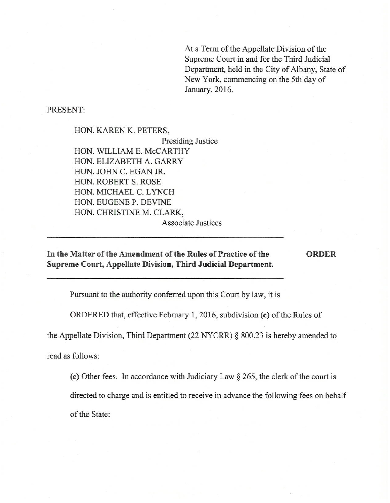At a Term of the Appellate Division of the Supreme Court in and for the Third Judicial Department, held in the City of Albany, State of New York, commencing on the 5th day of January, 2016.

PRESENT:

HON. KAREN K. PETERS, Presiding Justice HON. WILLIAM E. McCARTHY HON. ELIZABETH A. GARRY HON. JOHN C. EGAN JR. HON. ROBERT S. ROSE HON. MICHAEL C. LYNCH HON. EUGENE P. DEVINE HON. CHRISTINE M. CLARK,

Associate Justices

## **In the Matter of the Amendment of the Rules of Practice of the Supreme Court, Appellate Division, Third Judicial Department.**

**ORDER** 

Pursuant to the authority conferred upon this Court by law, it is

ORDERED that, effective February 1, 2016, subdivision (c) of the Rules of

the Appellate Division, Third Department (22 NYCRR) § 800.23 is hereby amended to

read as follows:

(c) Other fees. In accordance with Judiciary Law§ 265, the clerk of the court is

directed to charge and is entitled to receive in advance the following fees on behalf

of the State: